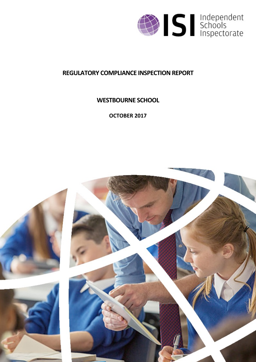

# **REGULATORY COMPLIANCE INSPECTION REPORT**

## **WESTBOURNE SCHOOL**

**OCTOBER 2017**

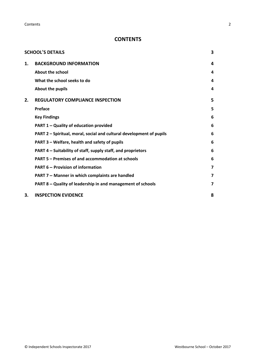**Contents** 2

## **CONTENTS**

|    | <b>SCHOOL'S DETAILS</b>                                              | 3                       |
|----|----------------------------------------------------------------------|-------------------------|
| 1. | <b>BACKGROUND INFORMATION</b>                                        | 4                       |
|    | <b>About the school</b>                                              | 4                       |
|    | What the school seeks to do                                          | 4                       |
|    | About the pupils                                                     | 4                       |
| 2. | <b>REGULATORY COMPLIANCE INSPECTION</b>                              | 5                       |
|    | Preface                                                              | 5                       |
|    | <b>Key Findings</b>                                                  | 6                       |
|    | <b>PART 1 - Quality of education provided</b>                        | 6                       |
|    | PART 2 - Spiritual, moral, social and cultural development of pupils | 6                       |
|    | PART 3 – Welfare, health and safety of pupils                        | 6                       |
|    | PART 4 – Suitability of staff, supply staff, and proprietors         | 6                       |
|    | PART 5 – Premises of and accommodation at schools                    | 6                       |
|    | <b>PART 6 - Provision of information</b>                             | $\overline{\mathbf{z}}$ |
|    | PART 7 - Manner in which complaints are handled                      | $\overline{\mathbf{z}}$ |
|    | PART 8 - Quality of leadership in and management of schools          | $\overline{\mathbf{z}}$ |
| 3. | <b>INSPECTION EVIDENCE</b>                                           | 8                       |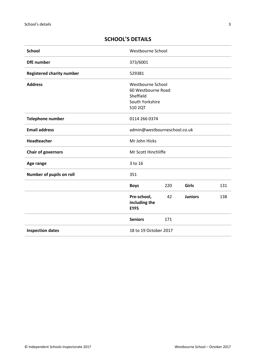## <span id="page-2-0"></span>**SCHOOL'S DETAILS**

| <b>School</b>                    | Westbourne School                                                                         |     |                |     |
|----------------------------------|-------------------------------------------------------------------------------------------|-----|----------------|-----|
| <b>DfE</b> number                | 373/6001                                                                                  |     |                |     |
| <b>Registered charity number</b> | 529381                                                                                    |     |                |     |
| <b>Address</b>                   | Westbourne School<br>60 Westbourne Road<br>Sheffield<br>South Yorkshire<br><b>S10 2QT</b> |     |                |     |
| <b>Telephone number</b>          | 0114 266 0374                                                                             |     |                |     |
| <b>Email address</b>             | admin@westbourneschool.co.uk                                                              |     |                |     |
| Headteacher                      | Mr John Hicks                                                                             |     |                |     |
| <b>Chair of governors</b>        | Mr Scott Hinchliffe                                                                       |     |                |     |
| Age range                        | 3 to 16                                                                                   |     |                |     |
| Number of pupils on roll         | 351                                                                                       |     |                |     |
|                                  | <b>Boys</b>                                                                               | 220 | Girls          | 131 |
|                                  | Pre-school,<br>including the<br><b>EYFS</b>                                               | 42  | <b>Juniors</b> | 138 |
|                                  | <b>Seniors</b>                                                                            | 171 |                |     |
| <b>Inspection dates</b>          | 18 to 19 October 2017                                                                     |     |                |     |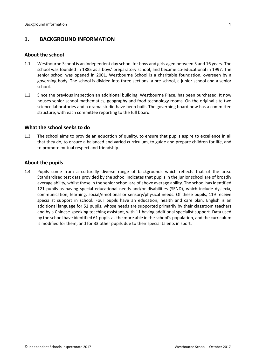## <span id="page-3-0"></span>**1. BACKGROUND INFORMATION**

#### <span id="page-3-1"></span>**About the school**

- 1.1 Westbourne School is an independent day school for boys and girls aged between 3 and 16 years. The school was founded in 1885 as a boys' preparatory school, and became co-educational in 1997. The senior school was opened in 2001. Westbourne School is a charitable foundation, overseen by a governing body. The school is divided into three sections: a pre-school, a junior school and a senior school.
- 1.2 Since the previous inspection an additional building, Westbourne Place, has been purchased. It now houses senior school mathematics, geography and food technology rooms. On the original site two science laboratories and a drama studio have been built. The governing board now has a committee structure, with each committee reporting to the full board.

#### <span id="page-3-2"></span>**What the school seeks to do**

1.3 The school aims to provide an education of quality, to ensure that pupils aspire to excellence in all that they do, to ensure a balanced and varied curriculum, to guide and prepare children for life, and to promote mutual respect and friendship.

#### <span id="page-3-3"></span>**About the pupils**

1.4 Pupils come from a culturally diverse range of backgrounds which reflects that of the area. Standardised test data provided by the school indicates that pupils in the junior school are of broadly average ability, whilst those in the senior school are of above average ability. The school hasidentified 121 pupils as having special educational needs and/or disabilities (SEND), which include dyslexia, communication, learning, social/emotional or sensory/physical needs. Of these pupils, 119 receive specialist support in school. Four pupils have an education, health and care plan. English is an additional language for 51 pupils, whose needs are supported primarily by their classroom teachers and by a Chinese-speaking teaching assistant, with 11 having additional specialist support. Data used by the school have identified 61 pupils as the more able in the school's population, and the curriculum is modified for them, and for 33 other pupils due to their special talents in sport.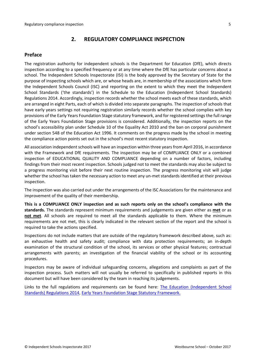## <span id="page-4-0"></span>**2. REGULATORY COMPLIANCE INSPECTION**

## <span id="page-4-1"></span>**Preface**

The registration authority for independent schools is the Department for Education (DfE), which directs inspection according to a specified frequency or at any time where the DfE has particular concerns about a school. The Independent Schools Inspectorate (ISI) is the body approved by the Secretary of State for the purpose of inspecting schools which are, or whose heads are, in membership of the associations which form the Independent Schools Council (ISC) and reporting on the extent to which they meet the Independent School Standards ('the standards') in the Schedule to the Education (Independent School Standards) Regulations 2014. Accordingly, inspection records whether the school meets each of these standards, which are arranged in eight Parts, each of which is divided into separate paragraphs. The inspection of schools that have early years settings not requiring registration similarly records whether the school complies with key provisions of the Early Years Foundation Stage statutory framework, and for registered settings the full range of the Early Years Foundation Stage provisions is considered. Additionally, the inspection reports on the school's accessibility plan under Schedule 10 of the Equality Act 2010 and the ban on corporal punishment under section 548 of the Education Act 1996. It comments on the progress made by the school in meeting the compliance action points set out in the school's most recent statutory inspection.

All association independent schools will have an inspection within three yearsfrom April 2016, in accordance with the Framework and DfE requirements. The inspection may be of COMPLIANCE ONLY or a combined inspection of EDUCATIONAL QUALITY AND COMPLIANCE depending on a number of factors, including findings from their most recent inspection. Schools judged not to meet the standards may also be subject to a progress monitoring visit before their next routine inspection. The progress monitoring visit will judge whether the school has taken the necessary action to meet any un-met standards identified at their previous inspection.

The inspection was also carried out under the arrangements of the ISC Associations for the maintenance and improvement of the quality of their membership.

**This is a COMPLIANCE ONLY inspection and as such reports only on the school's compliance with the standards.** The standards represent minimum requirements and judgements are given either as **met** or as **not met**. All schools are required to meet all the standards applicable to them. Where the minimum requirements are not met, this is clearly indicated in the relevant section of the report and the school is required to take the actions specified.

Inspections do not include matters that are outside of the regulatory framework described above, such as: an exhaustive health and safety audit; compliance with data protection requirements; an in-depth examination of the structural condition of the school, its services or other physical features; contractual arrangements with parents; an investigation of the financial viability of the school or its accounting procedures.

Inspectors may be aware of individual safeguarding concerns, allegations and complaints as part of the inspection process. Such matters will not usually be referred to specifically in published reports in this document but will have been considered by the team in reaching its judgements.

Links to the full regulations and requirements can be found here: The Education [\(Independent](http://www.legislation.gov.uk/uksi/2014/3283/contents/made) School Standards) [Regulations](http://www.legislation.gov.uk/uksi/2014/3283/contents/made) 2014, Early Years Foundation Stage Statutory [Framework.](https://www.gov.uk/government/publications/early-years-foundation-stage-framework--2)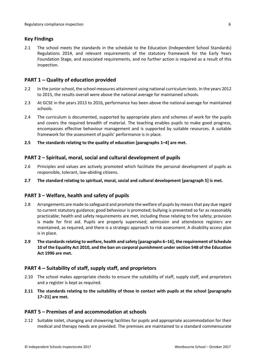## <span id="page-5-0"></span>**Key Findings**

2.1 The school meets the standards in the schedule to the Education (Independent School Standards) Regulations 2014, and relevant requirements of the statutory framework for the Early Years Foundation Stage, and associated requirements, and no further action is required as a result of this inspection.

## <span id="page-5-1"></span>**PART 1 – Quality of education provided**

- 2.2 In the juniorschool, the school measures attainment using national curriculum tests. In the years 2012 to 2015, the results overall were above the national average for maintained schools.
- 2.3 At GCSE in the years 2013 to 2016, performance has been above the national average for maintained schools.
- 2.4 The curriculum is documented, supported by appropriate plans and schemes of work for the pupils and covers the required breadth of material. The teaching enables pupils to make good progress, encompasses effective behaviour management and is supported by suitable resources. A suitable framework for the assessment of pupils' performance is in place.
- **2.5 The standards relating to the quality of education [paragraphs 1–4] are met.**

## <span id="page-5-2"></span>**PART 2 – Spiritual, moral, social and cultural development of pupils**

- 2.6 Principles and values are actively promoted which facilitate the personal development of pupils as responsible, tolerant, law-abiding citizens.
- **2.7 The standard relating to spiritual, moral, social and cultural development [paragraph 5] is met.**

### <span id="page-5-3"></span>**PART 3 – Welfare, health and safety of pupils**

- 2.8 Arrangements are made to safeguard and promote the welfare of pupils by means that pay due regard to current statutory guidance; good behaviour is promoted; bullying is prevented so far as reasonably practicable; health and safety requirements are met, including those relating to fire safety; provision is made for first aid. Pupils are properly supervised; admission and attendance registers are maintained, as required, and there is a strategic approach to risk assessment. A disability access plan is in place.
- **2.9 The standardsrelating to welfare, health and safety [paragraphs 6–16], the requirement of Schedule 10 of the Equality Act 2010, and the ban on corporal punishment undersection 548 of the Education Act 1996 are met.**

### <span id="page-5-4"></span>**PART 4 – Suitability of staff, supply staff, and proprietors**

- 2.10 The school makes appropriate checks to ensure the suitability of staff, supply staff, and proprietors and a register is kept as required.
- **2.11 The standards relating to the suitability of those in contact with pupils at the school [paragraphs 17–21] are met.**

### <span id="page-5-5"></span>**PART 5 – Premises of and accommodation at schools**

2.12 Suitable toilet, changing and showering facilities for pupils and appropriate accommodation for their medical and therapy needs are provided. The premises are maintained to a standard commensurate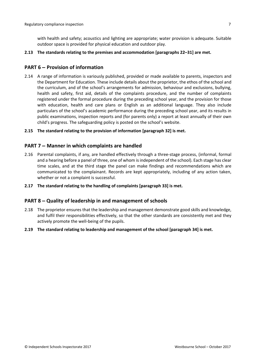with health and safety; acoustics and lighting are appropriate; water provision is adequate. Suitable outdoor space is provided for physical education and outdoor play.

#### **2.13 The standards relating to the premises and accommodation [paragraphs 22–31] are met.**

#### <span id="page-6-0"></span>**PART 6 – Provision of information**

2.14 A range of information is variously published, provided or made available to parents, inspectors and the Department for Education. These include details about the proprietor, the ethos of the school and the curriculum, and of the school's arrangements for admission, behaviour and exclusions, bullying, health and safety, first aid, details of the complaints procedure, and the number of complaints registered under the formal procedure during the preceding school year, and the provision for those with education, health and care plans or English as an additional language. They also include particulars of the school's academic performance during the preceding school year, and its results in public examinations, inspection reports and (for parents only) a report at least annually of their own child's progress. The safeguarding policy is posted on the school's website.

#### **2.15 The standard relating to the provision of information [paragraph 32] is met.**

#### <span id="page-6-1"></span>**PART 7 – Manner in which complaints are handled**

- 2.16 Parental complaints, if any, are handled effectively through a three-stage process, (informal, formal and a hearing before a panel of three, one of whom isindependent of the school). Each stage has clear time scales, and at the third stage the panel can make findings and recommendations which are communicated to the complainant. Records are kept appropriately, including of any action taken, whether or not a complaint is successful.
- **2.17 The standard relating to the handling of complaints [paragraph 33] is met.**

#### <span id="page-6-2"></span>**PART 8 – Quality of leadership in and management of schools**

- 2.18 The proprietor ensures that the leadership and management demonstrate good skills and knowledge, and fulfil their responsibilities effectively, so that the other standards are consistently met and they actively promote the well-being of the pupils.
- **2.19 The standard relating to leadership and management of the school [paragraph 34] is met.**